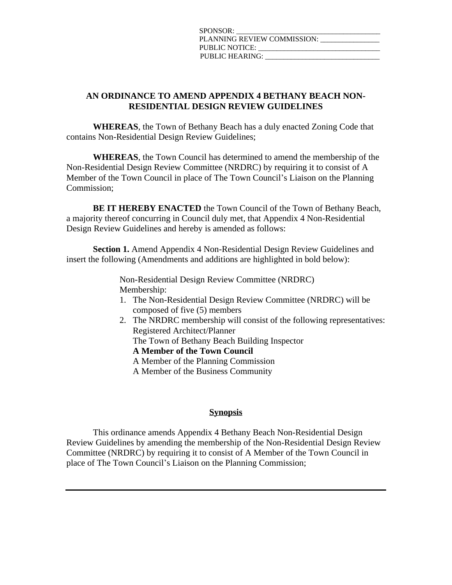| SPONSOR:                    |
|-----------------------------|
| PLANNING REVIEW COMMISSION: |
| PUBLIC NOTICE:              |
| <b>PUBLIC HEARING:</b>      |

## **AN ORDINANCE TO AMEND APPENDIX 4 BETHANY BEACH NON-RESIDENTIAL DESIGN REVIEW GUIDELINES**

**WHEREAS**, the Town of Bethany Beach has a duly enacted Zoning Code that contains Non-Residential Design Review Guidelines;

**WHEREAS**, the Town Council has determined to amend the membership of the Non-Residential Design Review Committee (NRDRC) by requiring it to consist of A Member of the Town Council in place of The Town Council's Liaison on the Planning Commission;

**BE IT HEREBY ENACTED** the Town Council of the Town of Bethany Beach, a majority thereof concurring in Council duly met, that Appendix 4 Non-Residential Design Review Guidelines and hereby is amended as follows:

**Section 1.** Amend Appendix 4 Non-Residential Design Review Guidelines and insert the following (Amendments and additions are highlighted in bold below):

> Non-Residential Design Review Committee (NRDRC) Membership:

- 1. The Non-Residential Design Review Committee (NRDRC) will be composed of five (5) members
- 2. The NRDRC membership will consist of the following representatives: Registered Architect/Planner The Town of Bethany Beach Building Inspector

**A Member of the Town Council**

A Member of the Planning Commission

A Member of the Business Community

## **Synopsis**

This ordinance amends Appendix 4 Bethany Beach Non-Residential Design Review Guidelines by amending the membership of the Non-Residential Design Review Committee (NRDRC) by requiring it to consist of A Member of the Town Council in place of The Town Council's Liaison on the Planning Commission;